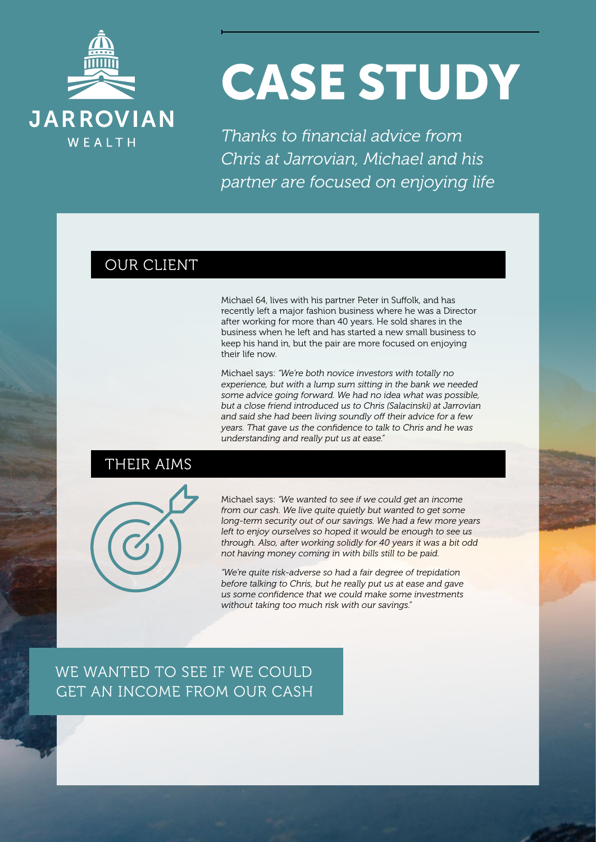

# CASE STUDY

*Thanks to financial advice from Chris at Jarrovian, Michael and his partner are focused on enjoying life*

# OUR CLIENT

Michael 64, lives with his partner Peter in Suffolk, and has recently left a major fashion business where he was a Director after working for more than 40 years. He sold shares in the business when he left and has started a new small business to keep his hand in, but the pair are more focused on enjoying their life now.

Michael says: *"We're both novice investors with totally no experience, but with a lump sum sitting in the bank we needed some advice going forward. We had no idea what was possible, but a close friend introduced us to Chris (Salacinski) at Jarrovian and said she had been living soundly off their advice for a few years. That gave us the confidence to talk to Chris and he was understanding and really put us at ease."*

# THEIR AIMS



Michael says: *"We wanted to see if we could get an income from our cash. We live quite quietly but wanted to get some long-term security out of our savings. We had a few more years left to enjoy ourselves so hoped it would be enough to see us through. Also, after working solidly for 40 years it was a bit odd not having money coming in with bills still to be paid.*

*"We're quite risk-adverse so had a fair degree of trepidation before talking to Chris, but he really put us at ease and gave us some confidence that we could make some investments without taking too much risk with our savings."*

WE WANTED TO SEE IF WE COULD GET AN INCOME FROM OUR CASH